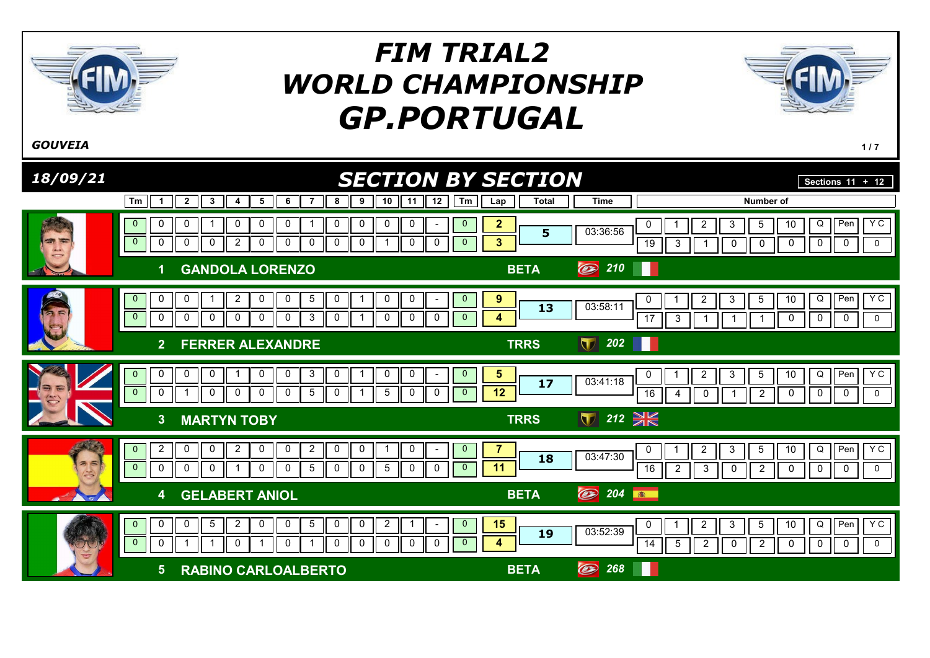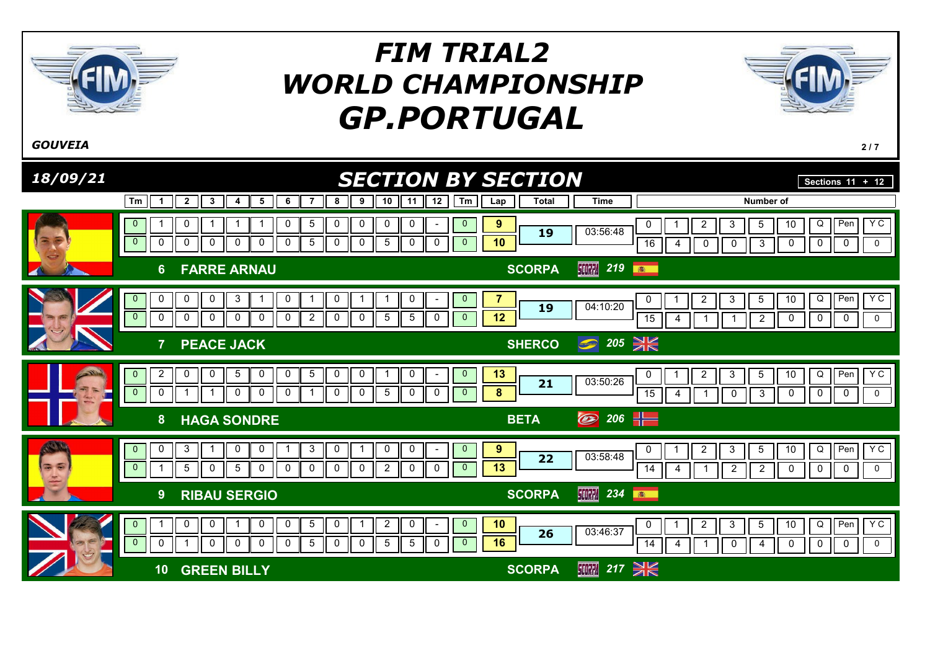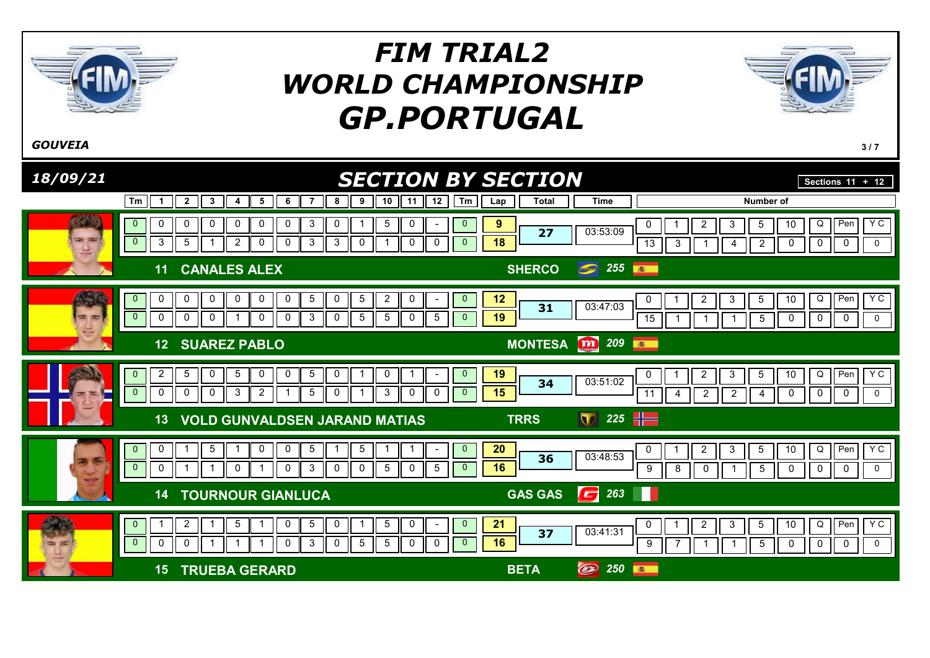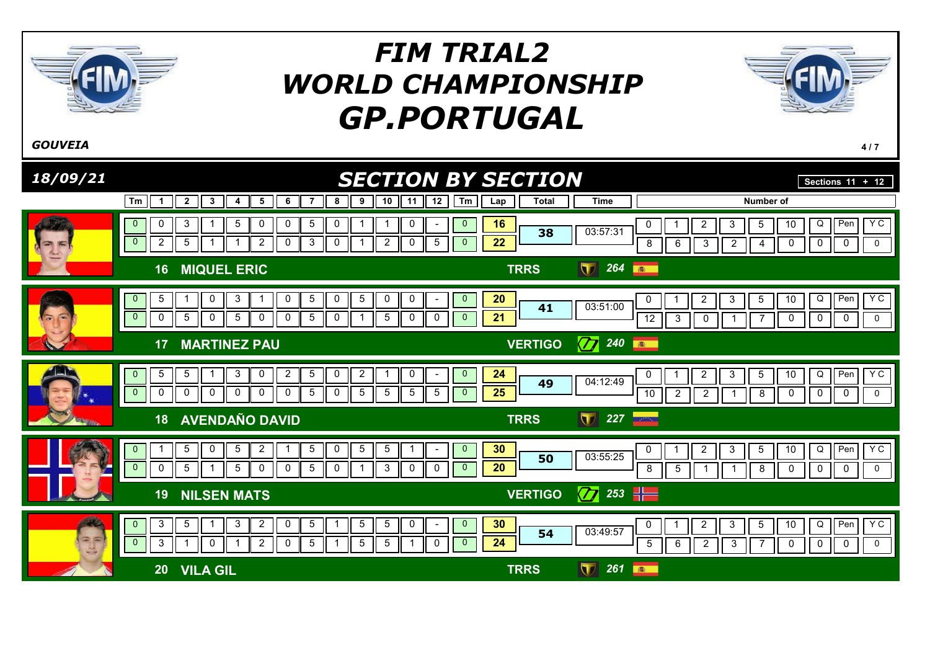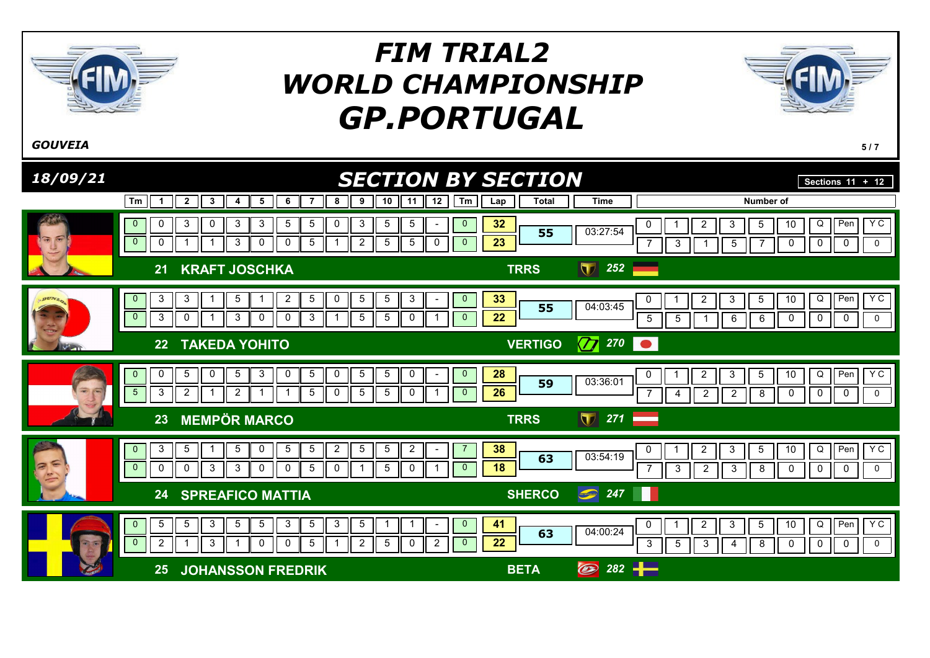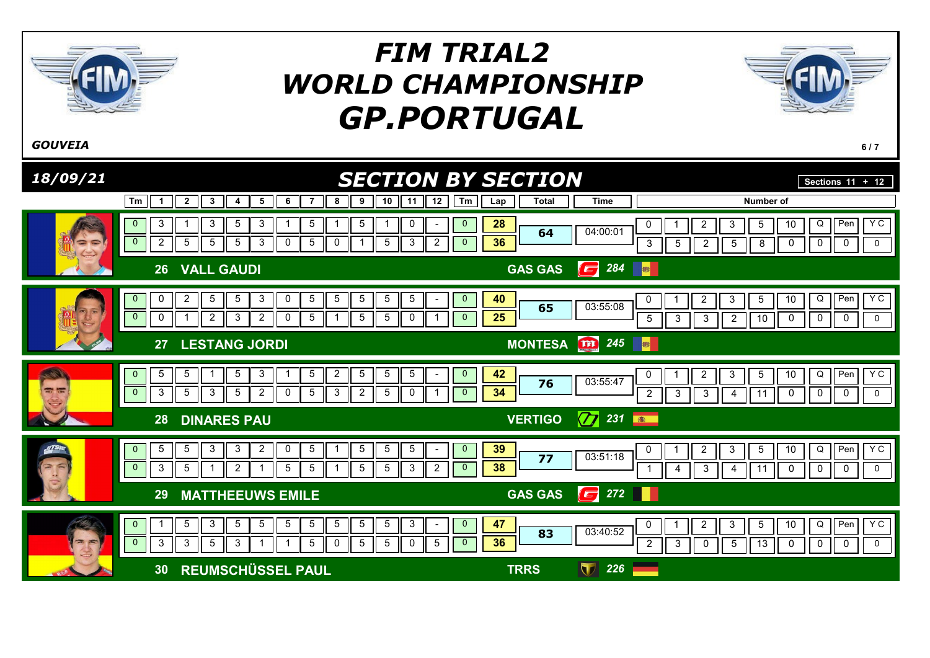